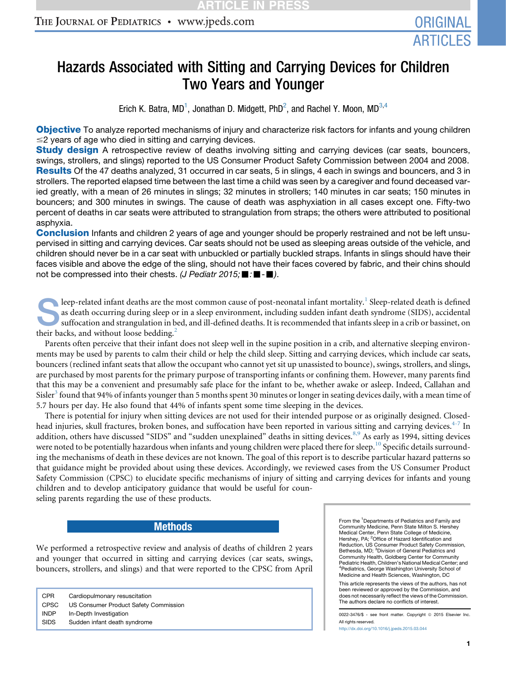# Hazards Associated with Sitting and Carrying Devices for Children Two Years and Younger

Erich K. Batra, MD<sup>1</sup>, Jonathan D. Midgett, PhD<sup>2</sup>, and Rachel Y. Moon, MD<sup>3,4</sup>

Objective To analyze reported mechanisms of injury and characterize risk factors for infants and young children  $\leq$  years of age who died in sitting and carrying devices.

**Study design** A retrospective review of deaths involving sitting and carrying devices (car seats, bouncers, swings, strollers, and slings) reported to the US Consumer Product Safety Commission between 2004 and 2008. Results Of the 47 deaths analyzed, 31 occurred in car seats, 5 in slings, 4 each in swings and bouncers, and 3 in strollers. The reported elapsed time between the last time a child was seen by a caregiver and found deceased varied greatly, with a mean of 26 minutes in slings; 32 minutes in strollers; 140 minutes in car seats; 150 minutes in bouncers; and 300 minutes in swings. The cause of death was asphyxiation in all cases except one. Fifty-two percent of deaths in car seats were attributed to strangulation from straps; the others were attributed to positional asphyxia.

**Conclusion** Infants and children 2 years of age and younger should be properly restrained and not be left unsupervised in sitting and carrying devices. Car seats should not be used as sleeping areas outside of the vehicle, and children should never be in a car seat with unbuckled or partially buckled straps. Infants in slings should have their faces visible and above the edge of the sling, should not have their faces covered by fabric, and their chins should not be compressed into their chests. *(J Pediatr 2015;* ■ *:*■ -■).

Sleep-related infant deaths are the most common cause of post-neonatal infant mortality.<sup>[1](#page-4-0)</sup> Sleep-related death is defined as death occurring during sleep or in a sleep environment, including sudden infant death syndrome ( as death occurring during sleep or in a sleep environment, including sudden infant death syndrome (SIDS), accidental suffocation and strangulation in bed, and ill-defined deaths. It is recommended that infants sleep in a crib or bassinet, on their backs, and without loose bedding.<sup>[2](#page-4-0)</sup>

Parents often perceive that their infant does not sleep well in the supine position in a crib, and alternative sleeping environments may be used by parents to calm their child or help the child sleep. Sitting and carrying devices, which include car seats, bouncers (reclined infant seats that allow the occupant who cannot yet sit up unassisted to bounce), swings, strollers, and slings, are purchased by most parents for the primary purpose of transporting infants or confining them. However, many parents find that this may be a convenient and presumably safe place for the infant to be, whether awake or asleep. Indeed, Callahan and Sisler<sup>[3](#page-4-0)</sup> found that 94% of infants younger than 5 months spent 30 minutes or longer in seating devices daily, with a mean time of 5.7 hours per day. He also found that 44% of infants spent some time sleeping in the devices.

There is potential for injury when sitting devices are not used for their intended purpose or as originally designed. Closed-head injuries, skull fractures, broken bones, and suffocation have been reported in various sitting and carrying devices.<sup>[4-7](#page-4-0)</sup> In addition, others have discussed "SIDS" and "sudden unexplained" deaths in sitting devices.<sup>[8,9](#page-4-0)</sup> As early as 1994, sitting devices were noted to be potentially hazardous when infants and young children were placed there for sleep.<sup>[10](#page-4-0)</sup> Specific details surrounding the mechanisms of death in these devices are not known. The goal of this report is to describe particular hazard patterns so that guidance might be provided about using these devices. Accordingly, we reviewed cases from the US Consumer Product Safety Commission (CPSC) to elucidate specific mechanisms of injury of sitting and carrying devices for infants and young children and to develop anticipatory guidance that would be useful for coun-

seling parents regarding the use of these products.

### **Methods**

We performed a retrospective review and analysis of deaths of children 2 years and younger that occurred in sitting and carrying devices (car seats, swings, bouncers, strollers, and slings) and that were reported to the CPSC from April

CPR Cardiopulmonary resuscitation CPSC US Consumer Product Safety Commission INDP In-Depth Investigation SIDS Sudden infant death syndrome

From the <sup>1</sup>Departments of Pediatrics and Family and Community Medicine, Penn State Milton S. Hershey Medical Center, Penn State College of Medicine, Hershey, PA; <sup>2</sup>Office of Hazard Identification and Reduction, US Consumer Product Safety Commission, Bethesda, MD; <sup>3</sup>Division of General Pediatrics and Community Health, Goldberg Center for Community Pediatric Health, Children's National Medical Center; and 4 Pediatrics, George Washington University School of Medicine and Health Sciences, Washington, DC

This article represents the views of the authors, has not been reviewed or approved by the Commission, and does not necessarily reflect the views of the Commission. The authors declare no conflicts of interest.

0022-3476/\$ - see front matter. Copyright © 2015 Elsevier Inc. All rights reserved.

<http://dx.doi.org/10.1016/j.jpeds.2015.03.044>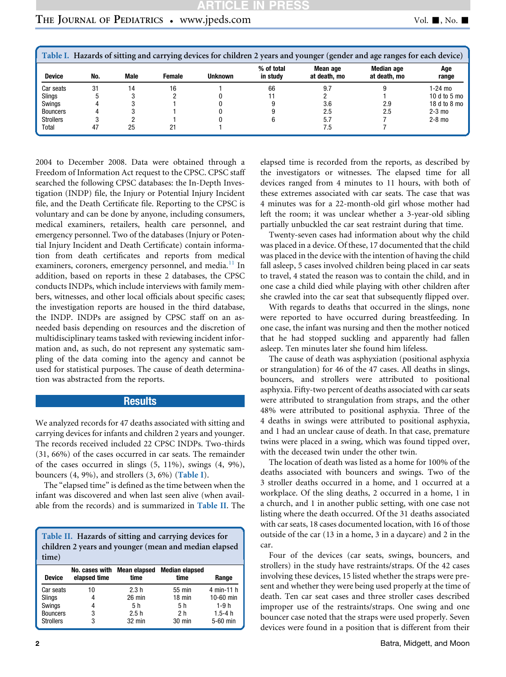| Table I. Hazards of sitting and carrying devices for children 2 years and younger (gender and age ranges for each device) |     |             |        |                |                        |                          |                            |                |  |  |
|---------------------------------------------------------------------------------------------------------------------------|-----|-------------|--------|----------------|------------------------|--------------------------|----------------------------|----------------|--|--|
| <b>Device</b>                                                                                                             | No. | <b>Male</b> | Female | <b>Unknown</b> | % of total<br>in study | Mean age<br>at death, mo | Median age<br>at death, mo | Age<br>range   |  |  |
| Car seats                                                                                                                 | 31  | 14          | 16     |                | 66                     | 9.7                      |                            | 1-24 mo        |  |  |
| Slings                                                                                                                    |     |             |        |                |                        |                          |                            | 10 $d$ to 5 mo |  |  |
| Swings                                                                                                                    |     |             |        |                |                        | 3.6                      | 2.9                        | 18 d to 8 mo   |  |  |
| <b>Bouncers</b>                                                                                                           |     |             |        |                |                        | 2.5                      | 2.5                        | $2-3$ mo       |  |  |
| <b>Strollers</b>                                                                                                          |     |             |        |                |                        | 5.7                      |                            | $2-8$ mo       |  |  |
| Total                                                                                                                     | 47  | 25          | 21     |                |                        | 7.5                      |                            |                |  |  |

2004 to December 2008. Data were obtained through a Freedom of Information Act request to the CPSC. CPSC staff searched the following CPSC databases: the In-Depth Investigation (INDP) file, the Injury or Potential Injury Incident file, and the Death Certificate file. Reporting to the CPSC is voluntary and can be done by anyone, including consumers, medical examiners, retailers, health care personnel, and emergency personnel. Two of the databases (Injury or Potential Injury Incident and Death Certificate) contain information from death certificates and reports from medical examiners, coroners, emergency personnel, and media.<sup>[11](#page-4-0)</sup> In addition, based on reports in these 2 databases, the CPSC conducts INDPs, which include interviews with family members, witnesses, and other local officials about specific cases; the investigation reports are housed in the third database, the INDP. INDPs are assigned by CPSC staff on an asneeded basis depending on resources and the discretion of multidisciplinary teams tasked with reviewing incident information and, as such, do not represent any systematic sampling of the data coming into the agency and cannot be used for statistical purposes. The cause of death determination was abstracted from the reports.

### **Results**

We analyzed records for 47 deaths associated with sitting and carrying devices for infants and children 2 years and younger. The records received included 22 CPSC INDPs. Two-thirds (31, 66%) of the cases occurred in car seats. The remainder of the cases occurred in slings (5, 11%), swings (4, 9%), bouncers  $(4, 9\%)$ , and strollers  $(3, 6\%)$  (Table I).

The "elapsed time" is defined as the time between when the infant was discovered and when last seen alive (when available from the records) and is summarized in Table II. The

| Table II. Hazards of sitting and carrying devices for |  |  |  |  |  |  |  |
|-------------------------------------------------------|--|--|--|--|--|--|--|
| children 2 years and younger (mean and median elapsed |  |  |  |  |  |  |  |
| time)                                                 |  |  |  |  |  |  |  |

| <b>Device</b>    | No. cases with Mean elapsed<br>elapsed time | time     | <b>Median elapsed</b><br>time | Range      |
|------------------|---------------------------------------------|----------|-------------------------------|------------|
| Car seats        | 10                                          | 2.3h     | 55 min                        | 4 min-11 h |
| Slings           |                                             | $26$ min | $18$ min                      | 10-60 min  |
| Swings           | 4                                           | 5 h      | 5 h                           | $1-9h$     |
| <b>Bouncers</b>  | 3                                           | 2.5h     | 2 h                           | $1.5 - 4h$ |
| <b>Strollers</b> | 3                                           | $32$ min | 30 min                        | 5-60 min   |

elapsed time is recorded from the reports, as described by the investigators or witnesses. The elapsed time for all devices ranged from 4 minutes to 11 hours, with both of these extremes associated with car seats. The case that was 4 minutes was for a 22-month-old girl whose mother had left the room; it was unclear whether a 3-year-old sibling partially unbuckled the car seat restraint during that time.

Twenty-seven cases had information about why the child was placed in a device. Of these, 17 documented that the child was placed in the device with the intention of having the child fall asleep, 5 cases involved children being placed in car seats to travel, 4 stated the reason was to contain the child, and in one case a child died while playing with other children after she crawled into the car seat that subsequently flipped over.

With regards to deaths that occurred in the slings, none were reported to have occurred during breastfeeding. In one case, the infant was nursing and then the mother noticed that he had stopped suckling and apparently had fallen asleep. Ten minutes later she found him lifeless.

The cause of death was asphyxiation (positional asphyxia or strangulation) for 46 of the 47 cases. All deaths in slings, bouncers, and strollers were attributed to positional asphyxia. Fifty-two percent of deaths associated with car seats were attributed to strangulation from straps, and the other 48% were attributed to positional asphyxia. Three of the 4 deaths in swings were attributed to positional asphyxia, and 1 had an unclear cause of death. In that case, premature twins were placed in a swing, which was found tipped over, with the deceased twin under the other twin.

The location of death was listed as a home for 100% of the deaths associated with bouncers and swings. Two of the 3 stroller deaths occurred in a home, and 1 occurred at a workplace. Of the sling deaths, 2 occurred in a home, 1 in a church, and 1 in another public setting, with one case not listing where the death occurred. Of the 31 deaths associated with car seats, 18 cases documented location, with 16 of those outside of the car (13 in a home, 3 in a daycare) and 2 in the car.

Four of the devices (car seats, swings, bouncers, and strollers) in the study have restraints/straps. Of the 42 cases involving these devices, 15 listed whether the straps were present and whether they were being used properly at the time of death. Ten car seat cases and three stroller cases described improper use of the restraints/straps. One swing and one bouncer case noted that the straps were used properly. Seven devices were found in a position that is different from their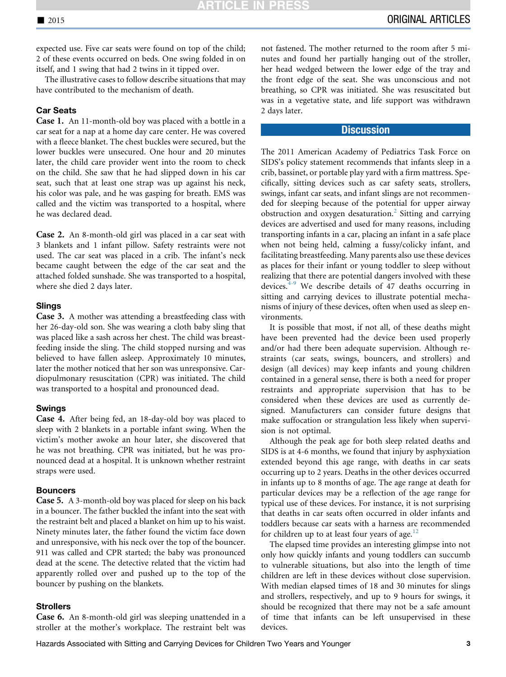expected use. Five car seats were found on top of the child; 2 of these events occurred on beds. One swing folded in on itself, and 1 swing that had 2 twins in it tipped over.

The illustrative cases to follow describe situations that may have contributed to the mechanism of death.

#### **Car Seats**

Case 1. An 11-month-old boy was placed with a bottle in a car seat for a nap at a home day care center. He was covered with a fleece blanket. The chest buckles were secured, but the lower buckles were unsecured. One hour and 20 minutes later, the child care provider went into the room to check on the child. She saw that he had slipped down in his car seat, such that at least one strap was up against his neck, his color was pale, and he was gasping for breath. EMS was called and the victim was transported to a hospital, where he was declared dead.

Case 2. An 8-month-old girl was placed in a car seat with 3 blankets and 1 infant pillow. Safety restraints were not used. The car seat was placed in a crib. The infant's neck became caught between the edge of the car seat and the attached folded sunshade. She was transported to a hospital, where she died 2 days later.

Case 3. A mother was attending a breastfeeding class with her 26-day-old son. She was wearing a cloth baby sling that was placed like a sash across her chest. The child was breastfeeding inside the sling. The child stopped nursing and was believed to have fallen asleep. Approximately 10 minutes, later the mother noticed that her son was unresponsive. Cardiopulmonary resuscitation (CPR) was initiated. The child was transported to a hospital and pronounced dead.

Case 4. After being fed, an 18-day-old boy was placed to sleep with 2 blankets in a portable infant swing. When the victim's mother awoke an hour later, she discovered that he was not breathing. CPR was initiated, but he was pronounced dead at a hospital. It is unknown whether restraint straps were used.

#### **Bouncers**

**Case 5.** A 3-month-old boy was placed for sleep on his back in a bouncer. The father buckled the infant into the seat with the restraint belt and placed a blanket on him up to his waist. Ninety minutes later, the father found the victim face down and unresponsive, with his neck over the top of the bouncer. 911 was called and CPR started; the baby was pronounced dead at the scene. The detective related that the victim had apparently rolled over and pushed up to the top of the bouncer by pushing on the blankets.

#### **Strollers**

Case 6. An 8-month-old girl was sleeping unattended in a stroller at the mother's workplace. The restraint belt was not fastened. The mother returned to the room after 5 minutes and found her partially hanging out of the stroller, her head wedged between the lower edge of the tray and the front edge of the seat. She was unconscious and not breathing, so CPR was initiated. She was resuscitated but was in a vegetative state, and life support was withdrawn 2 days later.

#### **Discussion**

The 2011 American Academy of Pediatrics Task Force on SIDS's policy statement recommends that infants sleep in a crib, bassinet, or portable play yard with a firm mattress. Specifically, sitting devices such as car safety seats, strollers, swings, infant car seats, and infant slings are not recommended for sleeping because of the potential for upper airway obstruction and oxygen desaturation.<sup>2</sup> Sitting and carrying devices are advertised and used for many reasons, including transporting infants in a car, placing an infant in a safe place when not being held, calming a fussy/colicky infant, and facilitating breastfeeding. Many parents also use these devices as places for their infant or young toddler to sleep without realizing that there are potential dangers involved with these devices. $4-9$  We describe details of 47 deaths occurring in sitting and carrying devices to illustrate potential mechanisms of injury of these devices, often when used as sleep environments.

It is possible that most, if not all, of these deaths might have been prevented had the device been used properly and/or had there been adequate supervision. Although restraints (car seats, swings, bouncers, and strollers) and design (all devices) may keep infants and young children contained in a general sense, there is both a need for proper restraints and appropriate supervision that has to be considered when these devices are used as currently designed. Manufacturers can consider future designs that make suffocation or strangulation less likely when supervision is not optimal.

Although the peak age for both sleep related deaths and SIDS is at 4-6 months, we found that injury by asphyxiation extended beyond this age range, with deaths in car seats occurring up to 2 years. Deaths in the other devices occurred in infants up to 8 months of age. The age range at death for particular devices may be a reflection of the age range for typical use of these devices. For instance, it is not surprising that deaths in car seats often occurred in older infants and toddlers because car seats with a harness are recommended for children up to at least four years of age.<sup>[12](#page-4-0)</sup>

The elapsed time provides an interesting glimpse into not only how quickly infants and young toddlers can succumb to vulnerable situations, but also into the length of time children are left in these devices without close supervision. With median elapsed times of 18 and 30 minutes for slings and strollers, respectively, and up to 9 hours for swings, it should be recognized that there may not be a safe amount of time that infants can be left unsupervised in these devices.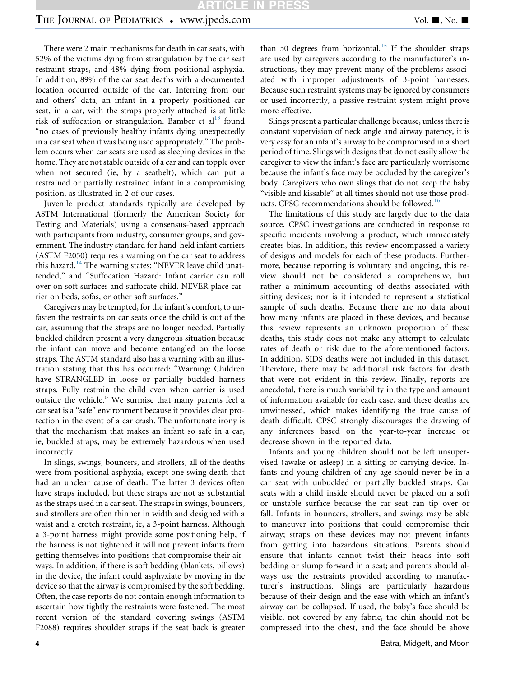## THE JOURNAL OF PEDIATRICS . www.jpeds.com Vol. 1, No. 1

There were 2 main mechanisms for death in car seats, with 52% of the victims dying from strangulation by the car seat restraint straps, and 48% dying from positional asphyxia. In addition, 89% of the car seat deaths with a documented location occurred outside of the car. Inferring from our and others' data, an infant in a properly positioned car seat, in a car, with the straps properly attached is at little risk of suffocation or strangulation. Bamber et al $^{13}$  $^{13}$  $^{13}$  found "no cases of previously healthy infants dying unexpectedly in a car seat when it was being used appropriately." The problem occurs when car seats are used as sleeping devices in the home. They are not stable outside of a car and can topple over when not secured (ie, by a seatbelt), which can put a restrained or partially restrained infant in a compromising position, as illustrated in 2 of our cases.

Juvenile product standards typically are developed by ASTM International (formerly the American Society for Testing and Materials) using a consensus-based approach with participants from industry, consumer groups, and government. The industry standard for hand-held infant carriers (ASTM F2050) requires a warning on the car seat to address this hazard.<sup>[14](#page-4-0)</sup> The warning states: "NEVER leave child unattended," and "Suffocation Hazard: Infant carrier can roll over on soft surfaces and suffocate child. NEVER place carrier on beds, sofas, or other soft surfaces."

Caregivers may be tempted, for the infant's comfort, to unfasten the restraints on car seats once the child is out of the car, assuming that the straps are no longer needed. Partially buckled children present a very dangerous situation because the infant can move and become entangled on the loose straps. The ASTM standard also has a warning with an illustration stating that this has occurred: "Warning: Children have STRANGLED in loose or partially buckled harness straps. Fully restrain the child even when carrier is used outside the vehicle." We surmise that many parents feel a car seat is a "safe" environment because it provides clear protection in the event of a car crash. The unfortunate irony is that the mechanism that makes an infant so safe in a car, ie, buckled straps, may be extremely hazardous when used incorrectly.

In slings, swings, bouncers, and strollers, all of the deaths were from positional asphyxia, except one swing death that had an unclear cause of death. The latter 3 devices often have straps included, but these straps are not as substantial as the straps used in a car seat. The straps in swings, bouncers, and strollers are often thinner in width and designed with a waist and a crotch restraint, ie, a 3-point harness. Although a 3-point harness might provide some positioning help, if the harness is not tightened it will not prevent infants from getting themselves into positions that compromise their airways. In addition, if there is soft bedding (blankets, pillows) in the device, the infant could asphyxiate by moving in the device so that the airway is compromised by the soft bedding. Often, the case reports do not contain enough information to ascertain how tightly the restraints were fastened. The most recent version of the standard covering swings (ASTM F2088) requires shoulder straps if the seat back is greater

than 50 degrees from horizontal.<sup>[15](#page-4-0)</sup> If the shoulder straps are used by caregivers according to the manufacturer's instructions, they may prevent many of the problems associated with improper adjustments of 3-point harnesses. Because such restraint systems may be ignored by consumers or used incorrectly, a passive restraint system might prove more effective.

Slings present a particular challenge because, unless there is constant supervision of neck angle and airway patency, it is very easy for an infant's airway to be compromised in a short period of time. Slings with designs that do not easily allow the caregiver to view the infant's face are particularly worrisome because the infant's face may be occluded by the caregiver's body. Caregivers who own slings that do not keep the baby "visible and kissable" at all times should not use those prod-ucts. CPSC recommendations should be followed.<sup>[16](#page-4-0)</sup>

The limitations of this study are largely due to the data source. CPSC investigations are conducted in response to specific incidents involving a product, which immediately creates bias. In addition, this review encompassed a variety of designs and models for each of these products. Furthermore, because reporting is voluntary and ongoing, this review should not be considered a comprehensive, but rather a minimum accounting of deaths associated with sitting devices; nor is it intended to represent a statistical sample of such deaths. Because there are no data about how many infants are placed in these devices, and because this review represents an unknown proportion of these deaths, this study does not make any attempt to calculate rates of death or risk due to the aforementioned factors. In addition, SIDS deaths were not included in this dataset. Therefore, there may be additional risk factors for death that were not evident in this review. Finally, reports are anecdotal, there is much variability in the type and amount of information available for each case, and these deaths are unwitnessed, which makes identifying the true cause of death difficult. CPSC strongly discourages the drawing of any inferences based on the year-to-year increase or decrease shown in the reported data.

Infants and young children should not be left unsupervised (awake or asleep) in a sitting or carrying device. Infants and young children of any age should never be in a car seat with unbuckled or partially buckled straps. Car seats with a child inside should never be placed on a soft or unstable surface because the car seat can tip over or fall. Infants in bouncers, strollers, and swings may be able to maneuver into positions that could compromise their airway; straps on these devices may not prevent infants from getting into hazardous situations. Parents should ensure that infants cannot twist their heads into soft bedding or slump forward in a seat; and parents should always use the restraints provided according to manufacturer's instructions. Slings are particularly hazardous because of their design and the ease with which an infant's airway can be collapsed. If used, the baby's face should be visible, not covered by any fabric, the chin should not be compressed into the chest, and the face should be above